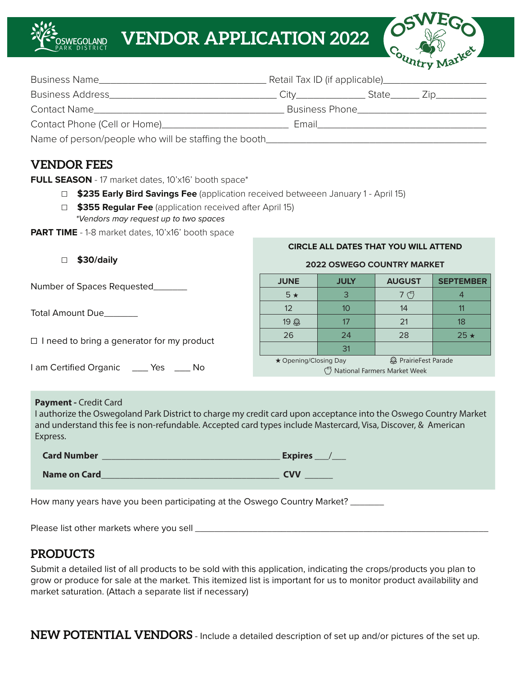# **VENDOR APPLICATION 2022**



**CIRCLE ALL DATES THAT YOU WILL ATTEND**

|                                                                                  | Retail Tax ID (if applicable)_____________________                                                            |  |
|----------------------------------------------------------------------------------|---------------------------------------------------------------------------------------------------------------|--|
|                                                                                  |                                                                                                               |  |
|                                                                                  | Business Phone <b>Committee Committee Phone</b>                                                               |  |
|                                                                                  | Email and the contract of the contract of the contract of the contract of the contract of the contract of the |  |
| Name of person/people who will be staffing the booth____________________________ |                                                                                                               |  |

### **VENDOR FEES**

**WEGOLAND** 

**FULL SEASON** - 17 market dates, 10'x16' booth space\*

- ☐ **\$235 Early Bird Savings Fee** (application received betweeen January 1 April 15)
- ☐ **\$355 Regular Fee** (application received after April 15) *\*Vendors may request up to two spaces*

**PART TIME** - 1-8 market dates, 10'x16' booth space

| \$30/daily                                        | <b>2022 OSWEGO COUNTRY MARKET</b> |             |                                                      |                  |
|---------------------------------------------------|-----------------------------------|-------------|------------------------------------------------------|------------------|
| Number of Spaces Requested_                       | <b>JUNE</b>                       | <b>JULY</b> | <b>AUGUST</b>                                        | <b>SEPTEMBER</b> |
|                                                   | $5 \star$                         | 3           | 7 (5                                                 | 4                |
| Total Amount Due_______                           | 12                                | 10          | 14                                                   | 11               |
|                                                   | 19 @                              | 17          | 21                                                   | 18               |
| $\Box$ I need to bring a generator for my product | 26                                | 24          | 28                                                   | $25 \star$       |
|                                                   |                                   | 31          |                                                      |                  |
| I am Certified Organic _____ Yes _____ No         | ★ Opening/Closing Day             |             | @ PrairieFest Parade<br>National Farmers Market Week |                  |
|                                                   |                                   |             |                                                      |                  |

#### Payment - Credit Card

I authorize the Oswegoland Park District to charge my credit card upon acceptance into the Oswego Country Market and understand this fee is non-refundable. Accepted card types include Mastercard, Visa, Discover, & American Express.

| <b>Card Number</b> | <b>Expires</b> |
|--------------------|----------------|
| Name on Card       | CVV            |

How many years have you been participating at the Oswego Country Market?

Please list other markets where you sell \_\_\_\_\_\_\_\_\_\_\_\_\_\_\_\_\_\_\_\_\_\_\_\_\_\_\_\_\_\_\_\_\_\_\_\_\_\_\_\_\_\_\_\_\_\_\_\_\_\_\_\_\_\_\_\_\_\_\_\_\_

## **PRODUCTS**

Submit a detailed list of all products to be sold with this application, indicating the crops/products you plan to grow or produce for sale at the market. This itemized list is important for us to monitor product availability and market saturation. (Attach a separate list if necessary)

**NEW POTENTIAL VENDORS** - Include a detailed description of set up and/or pictures of the set up.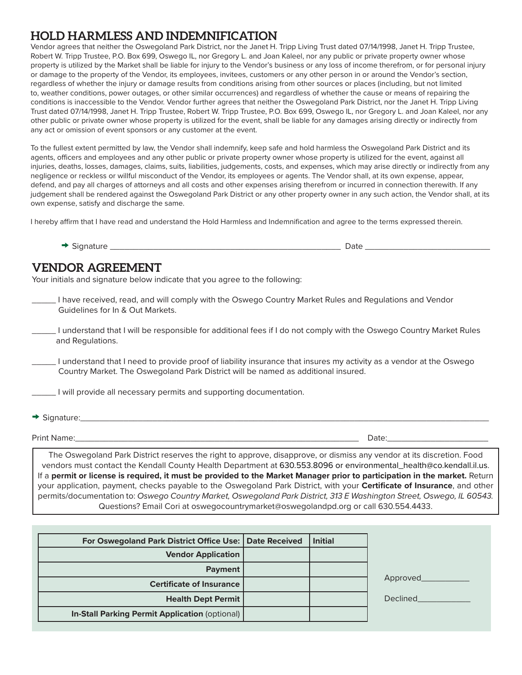# **HOLD HARMLESS AND INDEMNIFICATION**

Vendor agrees that neither the Oswegoland Park District, nor the Janet H. Tripp Living Trust dated 07/14/1998, Janet H. Tripp Trustee, Robert W. Tripp Trustee, P.O. Box 699, Oswego IL, nor Gregory L. and Joan Kaleel, nor any public or private property owner whose property is utilized by the Market shall be liable for injury to the Vendor's business or any loss of income therefrom, or for personal injury or damage to the property of the Vendor, its employees, invitees, customers or any other person in or around the Vendor's section, regardless of whether the injury or damage results from conditions arising from other sources or places (including, but not limited to, weather conditions, power outages, or other similar occurrences) and regardless of whether the cause or means of repairing the conditions is inaccessible to the Vendor. Vendor further agrees that neither the Oswegoland Park District, nor the Janet H. Tripp Living Trust dated 07/14/1998, Janet H. Tripp Trustee, Robert W. Tripp Trustee, P.O. Box 699, Oswego IL, nor Gregory L. and Joan Kaleel, nor any other public or private owner whose property is utilized for the event, shall be liable for any damages arising directly or indirectly from any act or omission of event sponsors or any customer at the event.

To the fullest extent permitted by law, the Vendor shall indemnify, keep safe and hold harmless the Oswegoland Park District and its agents, officers and employees and any other public or private property owner whose property is utilized for the event, against all injuries, deaths, losses, damages, claims, suits, liabilities, judgements, costs, and expenses, which may arise directly or indirectly from any negligence or reckless or willful misconduct of the Vendor, its employees or agents. The Vendor shall, at its own expense, appear, defend, and pay all charges of attorneys and all costs and other expenses arising therefrom or incurred in connection therewith. If any judgement shall be rendered against the Oswegoland Park District or any other property owner in any such action, the Vendor shall, at its own expense, satisfy and discharge the same.

I hereby affirm that I have read and understand the Hold Harmless and Indemnification and agree to the terms expressed therein.

→ Signature \_\_\_\_\_\_\_\_\_\_\_\_\_\_\_\_\_\_\_\_\_\_\_\_\_\_\_\_\_\_\_\_\_\_\_\_\_\_\_\_\_\_\_\_\_\_\_\_ Date \_\_\_\_\_\_\_\_\_\_\_\_\_\_\_\_\_\_\_\_\_\_\_\_\_\_

### **VENDOR AGREEMENT**

Your initials and signature below indicate that you agree to the following:

\_\_\_\_\_ I have received, read, and will comply with the Oswego Country Market Rules and Regulations and Vendor Guidelines for In & Out Markets.

\_\_\_\_\_ I understand that I will be responsible for additional fees if I do not comply with the Oswego Country Market Rules and Regulations.

\_\_\_\_\_ I understand that I need to provide proof of liability insurance that insures my activity as a vendor at the Oswego Country Market. The Oswegoland Park District will be named as additional insured.

\_\_\_\_\_ I will provide all necessary permits and supporting documentation.

→ Signature:\_\_\_\_\_\_\_\_\_\_\_\_\_\_\_\_\_\_\_\_\_\_\_\_\_\_\_\_\_\_\_\_\_\_\_\_\_\_\_\_\_\_\_\_\_\_\_\_\_\_\_\_\_\_\_\_\_\_\_\_\_\_\_\_\_\_\_\_\_\_\_\_\_\_\_\_\_\_\_\_\_\_\_\_\_

Print Name:\_\_\_\_\_\_\_\_\_\_\_\_\_\_\_\_\_\_\_\_\_\_\_\_\_\_\_\_\_\_\_\_\_\_\_\_\_\_\_\_\_\_\_\_\_\_\_\_\_\_\_\_\_\_\_\_\_\_\_ Date:\_\_\_\_\_\_\_\_\_\_\_\_\_\_\_\_\_\_\_\_\_

The Oswegoland Park District reserves the right to approve, disapprove, or dismiss any vendor at its discretion. Food vendors must contact the Kendall County Health Department at 630.553.8096 or environmental\_health@co.kendall.il.us. If a **permit or license is required, it must be provided to the Market Manager prior to participation in the market.** Return your application, payment, checks payable to the Oswegoland Park District, with your **Certificate of Insurance**, and other permits/documentation to: *Oswego Country Market, Oswegoland Park District, 313 E Washington Street, Oswego, IL 60543.*  Questions? Email Cori at oswegocountrymarket@oswegolandpd.org or call 630.554.4433.

| For Oswegoland Park District Office Use:   Date Received | <b>Initial</b> |          |
|----------------------------------------------------------|----------------|----------|
| <b>Vendor Application</b>                                |                |          |
| Payment                                                  |                |          |
| <b>Certificate of Insurance</b>                          |                | Approved |
| <b>Health Dept Permit</b>                                |                | Declined |
| <b>In-Stall Parking Permit Application (optional)</b>    |                |          |